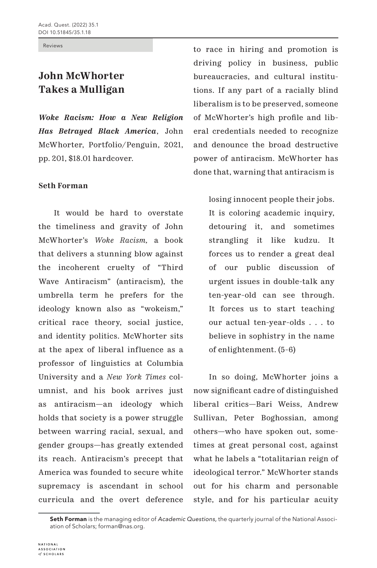Reviews

## **John McWhorter Takes a Mulligan**

*Woke Racism: How a New Religion Has Betrayed Black America*, John McWhorter, Portfolio/Penguin, 2021, pp. 201, \$18.01 hardcover.

## **Seth Forman**

It would be hard to overstate the timeliness and gravity of John McWhorter's *Woke Racism,* a book that delivers a stunning blow against the incoherent cruelty of "Third Wave Antiracism" (antiracism), the umbrella term he prefers for the ideology known also as "wokeism," critical race theory, social justice, and identity politics. McWhorter sits at the apex of liberal influence as a professor of linguistics at Columbia University and a *New York Times* columnist, and his book arrives just as antiracism—an ideology which holds that society is a power struggle between warring racial, sexual, and gender groups—has greatly extended its reach. Antiracism's precept that America was founded to secure white supremacy is ascendant in school curricula and the overt deference

to race in hiring and promotion is driving policy in business, public bureaucracies, and cultural institutions. If any part of a racially blind liberalism is to be preserved, someone of McWhorter's high profile and liberal credentials needed to recognize and denounce the broad destructive power of antiracism. McWhorter has done that, warning that antiracism is

losing innocent people their jobs. It is coloring academic inquiry, detouring it, and sometimes strangling it like kudzu. It forces us to render a great deal of our public discussion of urgent issues in double-talk any ten-year-old can see through. It forces us to start teaching our actual ten-year-olds . . . to believe in sophistry in the name of enlightenment. (5-6)

In so doing, McWhorter joins a now significant cadre of distinguished liberal critics—Bari Weiss, Andrew Sullivan, Peter Boghossian, among others—who have spoken out, sometimes at great personal cost, against what he labels a "totalitarian reign of ideological terror." McWhorter stands out for his charm and personable style, and for his particular acuity

Seth Forman is the managing editor of *Academic Questions,* the quarterly journal of the National Association of Scholars; forman@nas.org.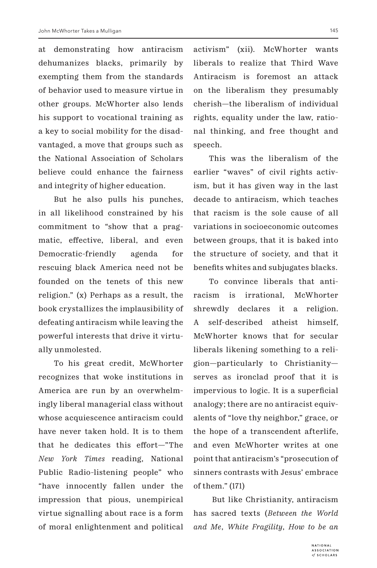at demonstrating how antiracism dehumanizes blacks, primarily by exempting them from the standards of behavior used to measure virtue in other groups. McWhorter also lends his support to vocational training as a key to social mobility for the disadvantaged, a move that groups such as the National Association of Scholars believe could enhance the fairness and integrity of higher education.

But he also pulls his punches, in all likelihood constrained by his commitment to "show that a pragmatic, effective, liberal, and even Democratic-friendly agenda for rescuing black America need not be founded on the tenets of this new religion." (x) Perhaps as a result, the book crystallizes the implausibility of defeating antiracism while leaving the powerful interests that drive it virtually unmolested.

To his great credit, McWhorter recognizes that woke institutions in America are run by an overwhelmingly liberal managerial class without whose acquiescence antiracism could have never taken hold. It is to them that he dedicates this effort—"The *New York Times* reading, National Public Radio-listening people" who "have innocently fallen under the impression that pious, unempirical virtue signalling about race is a form of moral enlightenment and political

activism" (xii). McWhorter wants liberals to realize that Third Wave Antiracism is foremost an attack on the liberalism they presumably cherish—the liberalism of individual rights, equality under the law, rational thinking, and free thought and speech.

This was the liberalism of the earlier "waves" of civil rights activism, but it has given way in the last decade to antiracism, which teaches that racism is the sole cause of all variations in socioeconomic outcomes between groups, that it is baked into the structure of society, and that it benefits whites and subjugates blacks.

To convince liberals that antiracism is irrational, McWhorter shrewdly declares it a religion. A self-described atheist himself, McWhorter knows that for secular liberals likening something to a religion—particularly to Christianity serves as ironclad proof that it is impervious to logic. It is a superficial analogy; there are no antiracist equivalents of "love thy neighbor," grace, or the hope of a transcendent afterlife, and even McWhorter writes at one point that antiracism's "prosecution of sinners contrasts with Jesus' embrace of them." (171)

 But like Christianity, antiracism has sacred texts (*Between the World and Me*, *White Fragility*, *How to be an*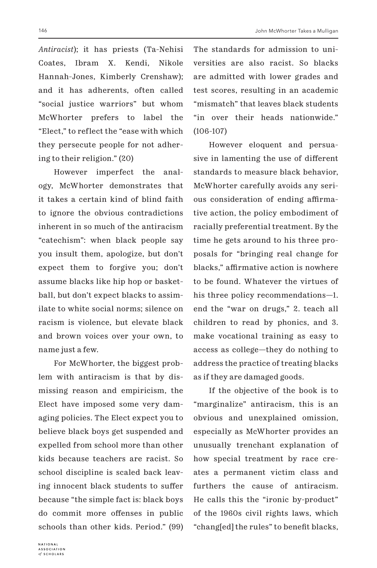146 John McWhorter Takes a Mulligan

*Antiracist*); it has priests (Ta-Nehisi Coates, Ibram X. Kendi, Nikole Hannah-Jones, Kimberly Crenshaw); and it has adherents, often called "social justice warriors" but whom McWhorter prefers to label the "Elect," to reflect the "ease with which they persecute people for not adhering to their religion." (20)

However imperfect the analogy, McWhorter demonstrates that it takes a certain kind of blind faith to ignore the obvious contradictions inherent in so much of the antiracism "catechism": when black people say you insult them, apologize, but don't expect them to forgive you; don't assume blacks like hip hop or basketball, but don't expect blacks to assimilate to white social norms; silence on racism is violence, but elevate black and brown voices over your own, to name just a few.

For McWhorter, the biggest problem with antiracism is that by dismissing reason and empiricism, the Elect have imposed some very damaging policies. The Elect expect you to believe black boys get suspended and expelled from school more than other kids because teachers are racist. So school discipline is scaled back leaving innocent black students to suffer because "the simple fact is: black boys do commit more offenses in public schools than other kids. Period." (99) The standards for admission to universities are also racist. So blacks are admitted with lower grades and test scores, resulting in an academic "mismatch" that leaves black students "in over their heads nationwide." (106-107)

However eloquent and persuasive in lamenting the use of different standards to measure black behavior, McWhorter carefully avoids any serious consideration of ending affirmative action, the policy embodiment of racially preferential treatment. By the time he gets around to his three proposals for "bringing real change for blacks," affirmative action is nowhere to be found. Whatever the virtues of his three policy recommendations—1. end the "war on drugs," 2. teach all children to read by phonics, and 3. make vocational training as easy to access as college—they do nothing to address the practice of treating blacks as if they are damaged goods.

If the objective of the book is to "marginalize" antiracism, this is an obvious and unexplained omission, especially as McWhorter provides an unusually trenchant explanation of how special treatment by race creates a permanent victim class and furthers the cause of antiracism. He calls this the "ironic by-product" of the 1960s civil rights laws, which "chang[ed] the rules" to benefit blacks,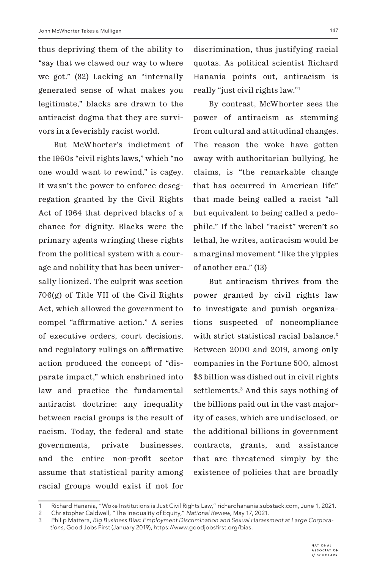thus depriving them of the ability to "say that we clawed our way to where we got." (82) Lacking an "internally generated sense of what makes you legitimate," blacks are drawn to the antiracist dogma that they are survivors in a feverishly racist world.

But McWhorter's indictment of the 1960s "civil rights laws," which "no one would want to rewind," is cagey. It wasn't the power to enforce desegregation granted by the Civil Rights Act of 1964 that deprived blacks of a chance for dignity. Blacks were the primary agents wringing these rights from the political system with a courage and nobility that has been universally lionized. The culprit was section 706(g) of Title VII of the Civil Rights Act, which allowed the government to compel "affirmative action." A series of executive orders, court decisions, and regulatory rulings on affirmative action produced the concept of "disparate impact," which enshrined into law and practice the fundamental antiracist doctrine: any inequality between racial groups is the result of racism. Today, the federal and state governments, private businesses, and the entire non-profit sector assume that statistical parity among racial groups would exist if not for

discrimination, thus justifying racial quotas. As political scientist Richard Hanania points out, antiracism is really "just civil rights law."1

By contrast, McWhorter sees the power of antiracism as stemming from cultural and attitudinal changes. The reason the woke have gotten away with authoritarian bullying, he claims, is "the remarkable change that has occurred in American life" that made being called a racist "all but equivalent to being called a pedophile." If the label "racist" weren't so lethal, he writes, antiracism would be a marginal movement "like the yippies of another era." (13)

But antiracism thrives from the power granted by civil rights law to investigate and punish organizations suspected of noncompliance with strict statistical racial balance.<sup>2</sup> Between 2000 and 2019, among only companies in the Fortune 500, almost \$3 billion was dished out in civil rights settlements.3 And this says nothing of the billions paid out in the vast majority of cases, which are undisclosed, or the additional billions in government contracts, grants, and assistance that are threatened simply by the existence of policies that are broadly

<sup>1</sup> Richard Hanania, "Woke Institutions is Just Civil Rights Law," richardhanania.substack.com, June 1, 2021.

<sup>2</sup> Christopher Caldwell, "The Inequality of Equity," *National Review,* May 17, 2021.

<sup>3</sup> Philip Mattera, *Big Business Bias: Employment Discrimination and Sexual Harassment at Large Corporations,* Good Jobs First (January 2019), https://www.goodjobsfirst.org/bias.